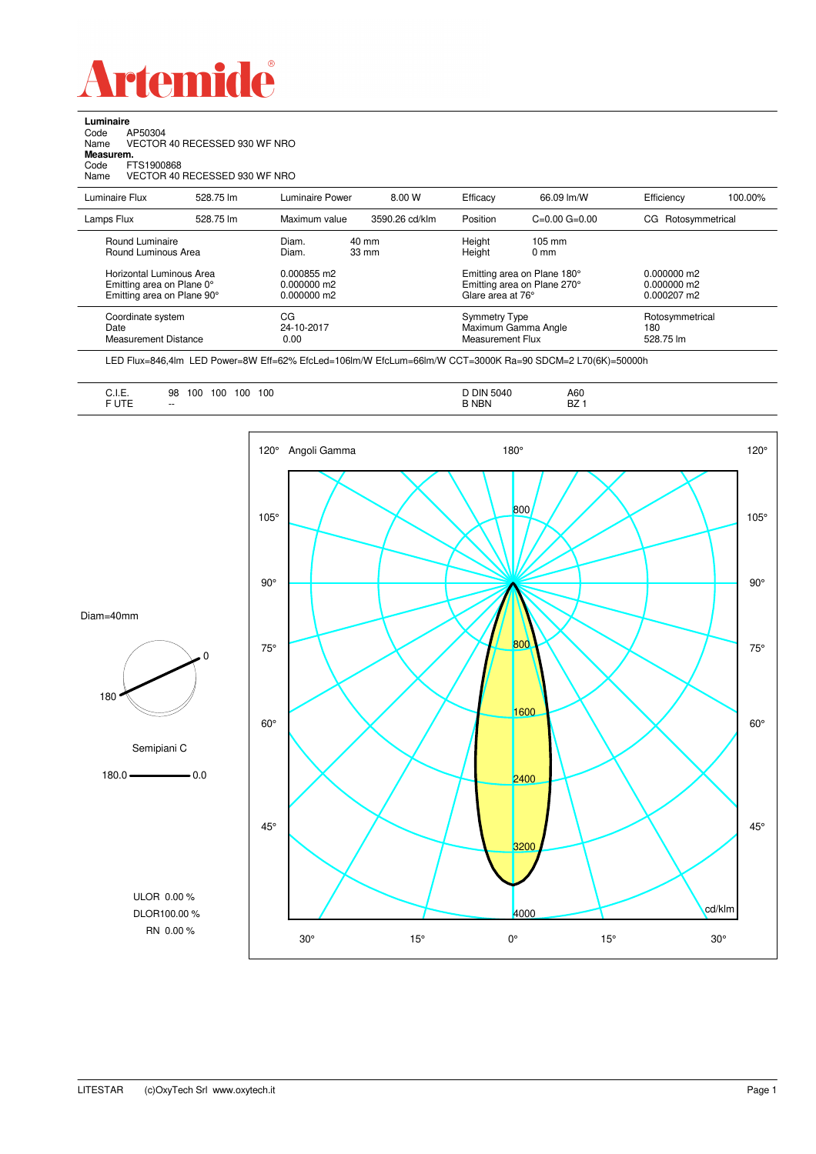

**Luminaire**<br>Code A<br>Name V le<br>AP50304<br>VECTOR 40 RECESSED 930 WF NRO Name VECTOR 40 RECESSED 930 WF NRO **Measurem.** Code FTS1900868 Name VECTOR 40 RECESSED 930 WF NRO

| Luminaire Flux                                                                                                                | 528.75 lm | Luminaire Power                                                 | 8.00 W                             | Efficacy                                 | 66.09 lm/W                                                                                                                                | Efficiency                          | 100.00% |
|-------------------------------------------------------------------------------------------------------------------------------|-----------|-----------------------------------------------------------------|------------------------------------|------------------------------------------|-------------------------------------------------------------------------------------------------------------------------------------------|-------------------------------------|---------|
| Lamps Flux                                                                                                                    | 528.75 lm | Maximum value                                                   | 3590.26 cd/klm                     | Position                                 | $C=0.00$ $G=0.00$                                                                                                                         | Rotosymmetrical<br>CG.              |         |
| Round Luminaire<br>Round Luminous Area<br>Horizontal Luminous Area<br>Emitting area on Plane 0°<br>Emitting area on Plane 90° |           | Diam.<br>Diam.<br>0.000855 m2<br>$0.000000$ m2<br>$0.000000$ m2 | $40 \text{ mm}$<br>$33 \text{ mm}$ |                                          | Height<br>$105 \text{ mm}$<br>Height<br>$0 \text{ mm}$<br>Emitting area on Plane 180°<br>Emitting area on Plane 270°<br>Glare area at 76° |                                     |         |
| Coordinate system<br>Date<br>Measurement Distance                                                                             |           | CG<br>24-10-2017<br>0.00                                        |                                    | <b>Symmetry Type</b><br>Measurement Flux | Maximum Gamma Angle                                                                                                                       | Rotosymmetrical<br>180<br>528.75 lm |         |

LED Flux=846,4lm LED Power=8W Eff=62% EfcLed=106lm/W EfcLum=66lm/W CCT=3000K Ra=90 SDCM=2 L70(6K)=50000h

| <b>DIN 5040</b><br>.<br>100<br>100<br>A60<br>100<br>100<br>98<br>◡.୲.∟.<br>$\sim$ $\sim$ $\sim$ $\sim$ $\sim$ $\sim$<br>F UTE<br>D7<br><b>NBN</b><br>$- -$<br>DZ |  |
|------------------------------------------------------------------------------------------------------------------------------------------------------------------|--|
|------------------------------------------------------------------------------------------------------------------------------------------------------------------|--|